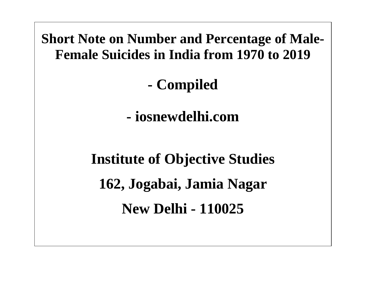

**New Delhi - 110025**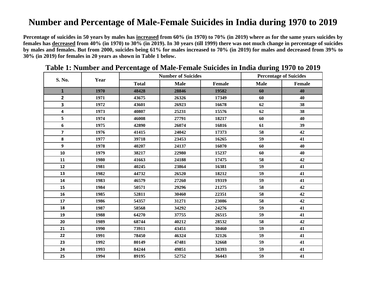## **Number and Percentage of Male-Female Suicides in India during 1970 to 2019**

**Percentage of suicides in 50 years by males has increased from 60% (in 1970) to 70% (in 2019) where as for the same years suicides by females has decreased from 40% (in 1970) to 30% (in 2019). In 30 years (till 1999) there was not much change in percentage of suicides by males and females. But from 2000, suicides being 61% for males increased to 70% (in 2019) for males and decreased from 39% to 30% (in 2019) for females in 20 years as shown in Table 1 below.**

| S. No.                  | Year | <b>Number of Suicides</b> |             |        | <b>Percentage of Suicides</b> |        |
|-------------------------|------|---------------------------|-------------|--------|-------------------------------|--------|
|                         |      | <b>Total</b>              | <b>Male</b> | Female | <b>Male</b>                   | Female |
| $\mathbf{1}$            | 1970 | 48428                     | 28846       | 19582  | 60                            | 40     |
| $\overline{\mathbf{2}}$ | 1971 | 43675                     | 26326       | 17349  | 60                            | 40     |
| 3                       | 1972 | 43601                     | 26923       | 16678  | 62                            | 38     |
| 4                       | 1973 | 40807                     | 25231       | 15576  | 62                            | 38     |
| 5                       | 1974 | 46008                     | 27791       | 18217  | 60                            | 40     |
| 6                       | 1975 | 42890                     | 26074       | 16816  | 61                            | 39     |
| $\overline{\mathbf{z}}$ | 1976 | 41415                     | 24042       | 17373  | 58                            | 42     |
| 8                       | 1977 | 39718                     | 23453       | 16265  | 59                            | 41     |
| 9                       | 1978 | 40207                     | 24137       | 16070  | 60                            | 40     |
| 10                      | 1979 | 38217                     | 22980       | 15237  | 60                            | 40     |
| 11                      | 1980 | 41663                     | 24188       | 17475  | 58                            | 42     |
| 12                      | 1981 | 40245                     | 23864       | 16381  | 59                            | 41     |
| 13                      | 1982 | 44732                     | 26520       | 18212  | 59                            | 41     |
| 14                      | 1983 | 46579                     | 27260       | 19319  | 59                            | 41     |
| 15                      | 1984 | 50571                     | 29296       | 21275  | 58                            | 42     |
| 16                      | 1985 | 52811                     | 30460       | 22351  | 58                            | 42     |
| 17                      | 1986 | 54357                     | 31271       | 23086  | 58                            | 42     |
| 18                      | 1987 | 58568                     | 34292       | 24276  | 59                            | 41     |
| 19                      | 1988 | 64270                     | 37755       | 26515  | 59                            | 41     |
| 20                      | 1989 | 68744                     | 40212       | 28532  | 58                            | 42     |
| 21                      | 1990 | 73911                     | 43451       | 30460  | 59                            | 41     |
| 22                      | 1991 | 78450                     | 46324       | 32126  | 59                            | 41     |
| 23                      | 1992 | 80149                     | 47481       | 32668  | 59                            | 41     |
| 24                      | 1993 | 84244                     | 49851       | 34393  | 59                            | 41     |
| 25                      | 1994 | 89195                     | 52752       | 36443  | 59                            | 41     |

**Table 1: Number and Percentage of Male-Female Suicides in India during 1970 to 2019**